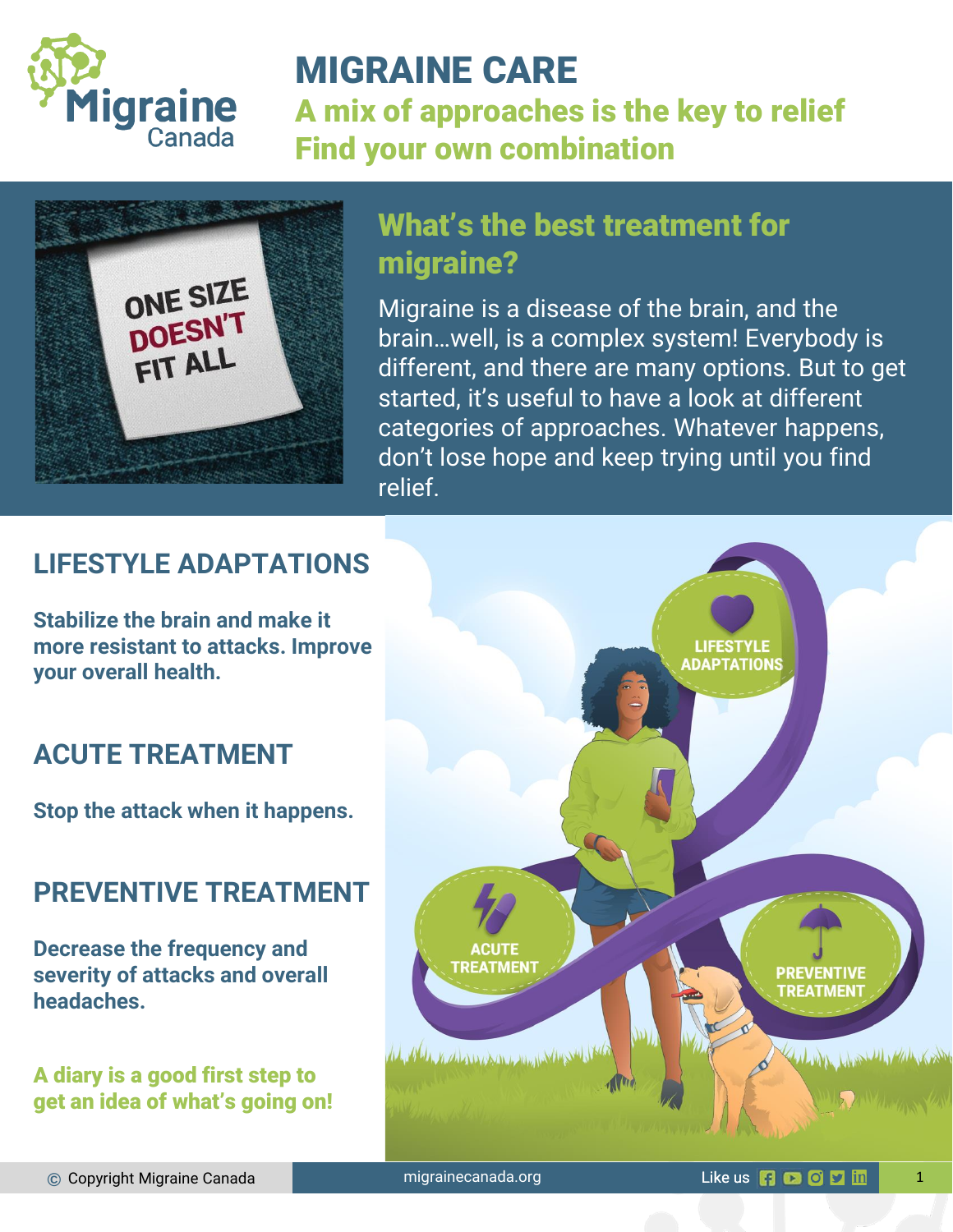

# MIGRAINE CARE

A mix of approaches is the key to relief Find your own combination



# What's the best treatment for migraine?

Migraine is a disease of the brain, and the brain…well, is a complex system! Everybody is different, and there are many options. But to get started, it's useful to have a look at different categories of approaches. Whatever happens, don't lose hope and keep trying until you find relief.

## **LIFESTYLE ADAPTATIONS**

**Stabilize the brain and make it more resistant to attacks. Improve your overall health.** 

## **ACUTE TREATMENT**

**Stop the attack when it happens.** 

### **PREVENTIVE TREATMENT**

**Decrease the frequency and severity of attacks and overall headaches.**

A diary is a good first step to get an idea of what's going on!